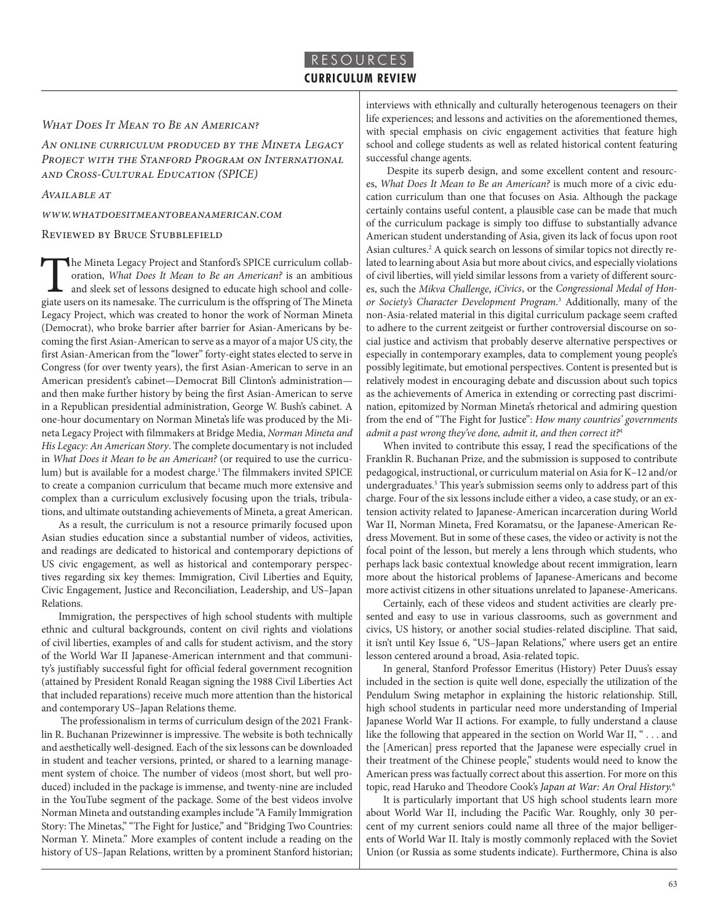#### *What Does It Mean to Be an American?*

*An online curriculum produced by the Mineta Legacy Project with the Stanford Program on International and Cross-Cultural Education (SPICE)*

*Available at* 

*www.whatdoesitmeantobeanamerican.com*

#### Reviewed by Bruce Stubblefield

The Mineta Legacy Project and Stanford's SPICE curriculum collaboration, *What Does It Mean to Be an American?* is an ambitious and sleek set of lessons designed to educate high school and collegiate users on its namesake. The curriculum is the offspring of The Mineta Legacy Project, which was created to honor the work of Norman Mineta (Democrat), who broke barrier after barrier for Asian-Americans by becoming the first Asian-American to serve as a mayor of a major US city, the first Asian-American from the "lower" forty-eight states elected to serve in Congress (for over twenty years), the first Asian-American to serve in an American president's cabinet—Democrat Bill Clinton's administration and then make further history by being the first Asian-American to serve in a Republican presidential administration, George W. Bush's cabinet. A one-hour documentary on Norman Mineta's life was produced by the Mineta Legacy Project with filmmakers at Bridge Media, *Norman Mineta and His Legacy: An American Story*. The complete documentary is not included in *What Does it Mean to be an American?* (or required to use the curriculum) but is available for a modest charge.<sup>1</sup> The filmmakers invited SPICE to create a companion curriculum that became much more extensive and complex than a curriculum exclusively focusing upon the trials, tribulations, and ultimate outstanding achievements of Mineta, a great American.

As a result, the curriculum is not a resource primarily focused upon Asian studies education since a substantial number of videos, activities, and readings are dedicated to historical and contemporary depictions of US civic engagement, as well as historical and contemporary perspectives regarding six key themes: Immigration, Civil Liberties and Equity, Civic Engagement, Justice and Reconciliation, Leadership, and US–Japan Relations.

Immigration, the perspectives of high school students with multiple ethnic and cultural backgrounds, content on civil rights and violations of civil liberties, examples of and calls for student activism, and the story of the World War II Japanese-American internment and that community's justifiably successful fight for official federal government recognition (attained by President Ronald Reagan signing the 1988 Civil Liberties Act that included reparations) receive much more attention than the historical and contemporary US–Japan Relations theme.

 The professionalism in terms of curriculum design of the 2021 Franklin R. Buchanan Prizewinner is impressive. The website is both technically and aesthetically well-designed. Each of the six lessons can be downloaded in student and teacher versions, printed, or shared to a learning management system of choice. The number of videos (most short, but well produced) included in the package is immense, and twenty-nine are included in the YouTube segment of the package. Some of the best videos involve Norman Mineta and outstanding examples include "A Family Immigration Story: The Minetas," "The Fight for Justice," and "Bridging Two Countries: Norman Y. Mineta." More examples of content include a reading on the history of US–Japan Relations, written by a prominent Stanford historian;

interviews with ethnically and culturally heterogenous teenagers on their life experiences; and lessons and activities on the aforementioned themes, with special emphasis on civic engagement activities that feature high school and college students as well as related historical content featuring successful change agents.

 Despite its superb design, and some excellent content and resources, *What Does It Mean to Be an American?* is much more of a civic education curriculum than one that focuses on Asia. Although the package certainly contains useful content, a plausible case can be made that much of the curriculum package is simply too diffuse to substantially advance American student understanding of Asia, given its lack of focus upon root Asian cultures.<sup>2</sup> A quick search on lessons of similar topics not directly related to learning about Asia but more about civics, and especially violations of civil liberties, will yield similar lessons from a variety of different sources, such the *Mikva Challenge*, *iCivics*, or the *Congressional Medal of Honor Society's Character Development Program*. 3 Additionally, many of the non-Asia-related material in this digital curriculum package seem crafted to adhere to the current zeitgeist or further controversial discourse on social justice and activism that probably deserve alternative perspectives or especially in contemporary examples, data to complement young people's possibly legitimate, but emotional perspectives. Content is presented but is relatively modest in encouraging debate and discussion about such topics as the achievements of America in extending or correcting past discrimination, epitomized by Norman Mineta's rhetorical and admiring question from the end of "The Fight for Justice": *How many countries' governments admit a past wrong they've done, admit it, and then correct it?*<sup>4</sup>

When invited to contribute this essay, I read the specifications of the Franklin R. Buchanan Prize, and the submission is supposed to contribute pedagogical, instructional, or curriculum material on Asia for K–12 and/or undergraduates.5 This year's submission seems only to address part of this charge. Four of the six lessons include either a video, a case study, or an extension activity related to Japanese-American incarceration during World War II, Norman Mineta, Fred Koramatsu, or the Japanese-American Redress Movement. But in some of these cases, the video or activity is not the focal point of the lesson, but merely a lens through which students, who perhaps lack basic contextual knowledge about recent immigration, learn more about the historical problems of Japanese-Americans and become more activist citizens in other situations unrelated to Japanese-Americans.

Certainly, each of these videos and student activities are clearly presented and easy to use in various classrooms, such as government and civics, US history, or another social studies-related discipline. That said, it isn't until Key Issue 6, "US–Japan Relations," where users get an entire lesson centered around a broad, Asia-related topic.

In general, Stanford Professor Emeritus (History) Peter Duus's essay included in the section is quite well done, especially the utilization of the Pendulum Swing metaphor in explaining the historic relationship. Still, high school students in particular need more understanding of Imperial Japanese World War II actions. For example, to fully understand a clause like the following that appeared in the section on World War II, " . . . and the [American] press reported that the Japanese were especially cruel in their treatment of the Chinese people," students would need to know the American press was factually correct about this assertion. For more on this topic, read Haruko and Theodore Cook's *Japan at War: An Oral History.*<sup>6</sup>

It is particularly important that US high school students learn more about World War II, including the Pacific War. Roughly, only 30 percent of my current seniors could name all three of the major belligerents of World War II. Italy is mostly commonly replaced with the Soviet Union (or Russia as some students indicate). Furthermore, China is also